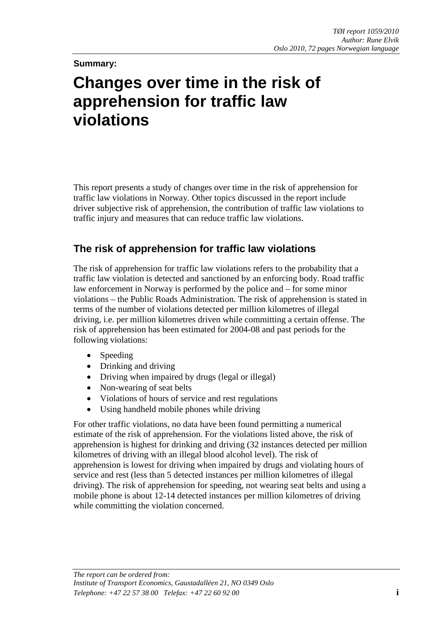#### **Summary:**

# **Changes over time in the risk of apprehension for traffic law violations**

This report presents a study of changes over time in the risk of apprehension for traffic law violations in Norway. Other topics discussed in the report include driver subjective risk of apprehension, the contribution of traffic law violations to traffic injury and measures that can reduce traffic law violations.

#### **The risk of apprehension for traffic law violations**

The risk of apprehension for traffic law violations refers to the probability that a traffic law violation is detected and sanctioned by an enforcing body. Road traffic law enforcement in Norway is performed by the police and – for some minor violations – the Public Roads Administration. The risk of apprehension is stated in terms of the number of violations detected per million kilometres of illegal driving, i.e. per million kilometres driven while committing a certain offense. The risk of apprehension has been estimated for 2004-08 and past periods for the following violations:

- Speeding
- Drinking and driving
- Driving when impaired by drugs (legal or illegal)
- Non-wearing of seat belts
- Violations of hours of service and rest regulations
- Using handheld mobile phones while driving

For other traffic violations, no data have been found permitting a numerical estimate of the risk of apprehension. For the violations listed above, the risk of apprehension is highest for drinking and driving (32 instances detected per million kilometres of driving with an illegal blood alcohol level). The risk of apprehension is lowest for driving when impaired by drugs and violating hours of service and rest (less than 5 detected instances per million kilometres of illegal driving). The risk of apprehension for speeding, not wearing seat belts and using a mobile phone is about 12-14 detected instances per million kilometres of driving while committing the violation concerned.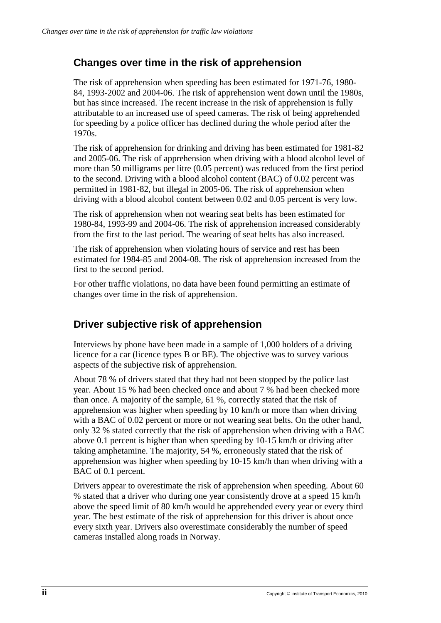### **Changes over time in the risk of apprehension**

The risk of apprehension when speeding has been estimated for 1971-76, 1980- 84, 1993-2002 and 2004-06. The risk of apprehension went down until the 1980s, but has since increased. The recent increase in the risk of apprehension is fully attributable to an increased use of speed cameras. The risk of being apprehended for speeding by a police officer has declined during the whole period after the 1970s.

The risk of apprehension for drinking and driving has been estimated for 1981-82 and 2005-06. The risk of apprehension when driving with a blood alcohol level of more than 50 milligrams per litre (0.05 percent) was reduced from the first period to the second. Driving with a blood alcohol content (BAC) of 0.02 percent was permitted in 1981-82, but illegal in 2005-06. The risk of apprehension when driving with a blood alcohol content between 0.02 and 0.05 percent is very low.

The risk of apprehension when not wearing seat belts has been estimated for 1980-84, 1993-99 and 2004-06. The risk of apprehension increased considerably from the first to the last period. The wearing of seat belts has also increased.

The risk of apprehension when violating hours of service and rest has been estimated for 1984-85 and 2004-08. The risk of apprehension increased from the first to the second period.

For other traffic violations, no data have been found permitting an estimate of changes over time in the risk of apprehension.

### **Driver subjective risk of apprehension**

Interviews by phone have been made in a sample of 1,000 holders of a driving licence for a car (licence types B or BE). The objective was to survey various aspects of the subjective risk of apprehension.

About 78 % of drivers stated that they had not been stopped by the police last year. About 15 % had been checked once and about 7 % had been checked more than once. A majority of the sample, 61 %, correctly stated that the risk of apprehension was higher when speeding by 10 km/h or more than when driving with a BAC of 0.02 percent or more or not wearing seat belts. On the other hand, only 32 % stated correctly that the risk of apprehension when driving with a BAC above 0.1 percent is higher than when speeding by 10-15 km/h or driving after taking amphetamine. The majority, 54 %, erroneously stated that the risk of apprehension was higher when speeding by 10-15 km/h than when driving with a BAC of 0.1 percent.

Drivers appear to overestimate the risk of apprehension when speeding. About 60 % stated that a driver who during one year consistently drove at a speed 15 km/h above the speed limit of 80 km/h would be apprehended every year or every third year. The best estimate of the risk of apprehension for this driver is about once every sixth year. Drivers also overestimate considerably the number of speed cameras installed along roads in Norway.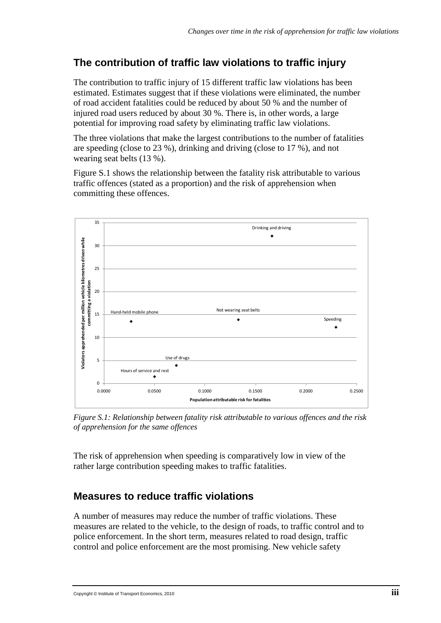# **The contribution of traffic law violations to traffic injury**

The contribution to traffic injury of 15 different traffic law violations has been estimated. Estimates suggest that if these violations were eliminated, the number of road accident fatalities could be reduced by about 50 % and the number of injured road users reduced by about 30 %. There is, in other words, a large potential for improving road safety by eliminating traffic law violations.

The three violations that make the largest contributions to the number of fatalities are speeding (close to 23 %), drinking and driving (close to 17 %), and not wearing seat belts (13 %).

Figure S.1 shows the relationship between the fatality risk attributable to various traffic offences (stated as a proportion) and the risk of apprehension when committing these offences.



*Figure S.1: Relationship between fatality risk attributable to various offences and the risk of apprehension for the same offences*

The risk of apprehension when speeding is comparatively low in view of the rather large contribution speeding makes to traffic fatalities.

## **Measures to reduce traffic violations**

A number of measures may reduce the number of traffic violations. These measures are related to the vehicle, to the design of roads, to traffic control and to police enforcement. In the short term, measures related to road design, traffic control and police enforcement are the most promising. New vehicle safety